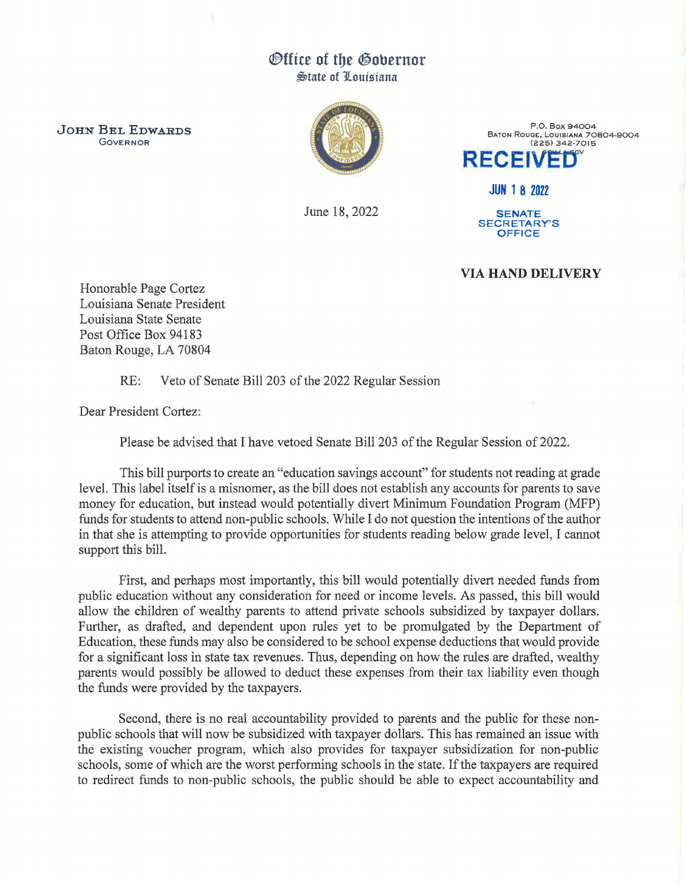## *Office of the Gobernor* **State of Louisiana**

JOHN BEL EDWARDS GOVERNOR



June 18, 2022

P.O. Box 94004 BATON ROUGE, LOUISIANA 70804-9004 (225) 342-7015 **RECEIVED** 

JUN 1 8 2022

**SENATE** SECRETARY'S OFFICE

## VIA HAND DELIVERY

Honorable Page Cortez Louisiana Senate President Louisiana State Senate Post Office Box 94183 Baton Rouge, LA 70804

RE: Veto of Senate Bill 203 of the 2022 Regular Session

Dear President Cortez:

Please be advised that I have vetoed Senate Bill 203 of the Regular Session of 2022.

This bill purports to create an "education savings account" for students not reading at grade level. This label itself is a misnomer, as the bill does not establish any accounts for parents to save money for education, but instead would potentially divert Minimum Foundation Program (MFP) funds for students to attend non-public schools. While I do not question the intentions of the author in that she is attempting to provide opportunities for students reading below grade level, I cannot support this bill.

First, and perhaps most importantly, this bill would potentially divert needed funds from public education without any consideration for need or income levels. As passed, this bill would allow the children of wealthy parents to attend private schools subsidized by taxpayer dollars. Further, as drafted, and dependent upon rules yet to be promulgated by the Department of Education, these funds may also be considered to be school expense deductions that would provide for a significant loss in state tax revenues. Thus, depending on how the rules are drafted, wealthy parents would possibly be allowed to deduct these expenses from their tax liability even though the funds were provided by the taxpayers.

Second, there is no real accountability provided to parents and the public for these nonpublic schools that will now be subsidized with taxpayer dollars. This has remained an issue with the existing voucher program, which also provides for taxpayer subsidization for non-public schools, some of which are the worst performing schools in the state. If the taxpayers are required to redirect funds to non-public schools, the public should be able to expect accountability and